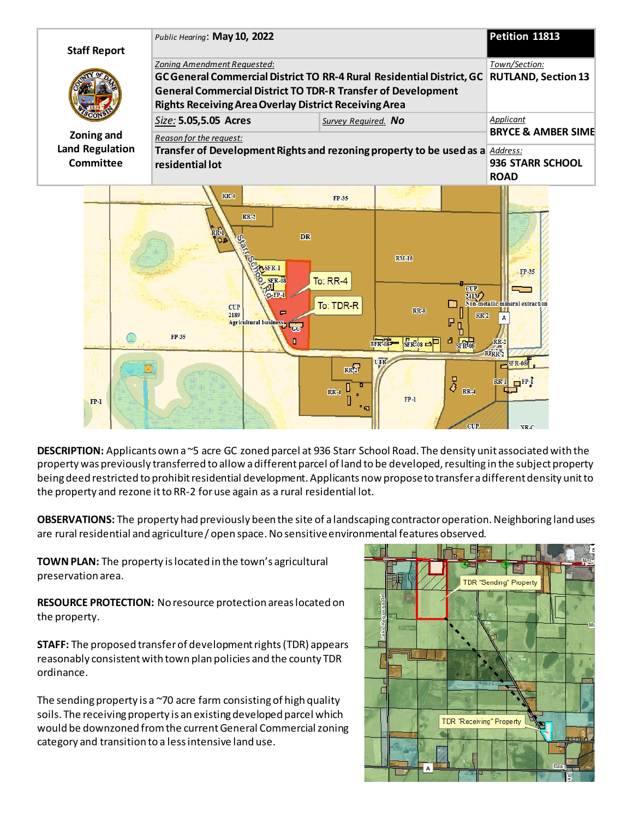

**DESCRIPTION:** Applicants own a ~5 acre GC zoned parcel at 936 Starr School Road. The density unit associated with the property was previously transferred to allow a different parcel of land to be developed, resulting in the subject property being deed restricted to prohibit residential development. Applicants now propose to transfer a different density unit to the property and rezone it to RR-2 for use again as a rural residential lot.

**OBSERVATIONS:** The property had previously been the site of a landscaping contractor operation. Neighboring land uses are rural residential and agriculture / open space. No sensitive environmental features observed.

**TOWN PLAN:** The property is located in the town's agricultural preservation area.

**RESOURCE PROTECTION:** No resource protection areas located on the property.

**STAFF:** The proposed transfer of development rights (TDR) appears reasonably consistent with town plan policies and the county TDR ordinance.

The sending property is a  $\sim$ 70 acre farm consisting of high quality soils. The receiving property is an existing developed parcel which would be downzoned from the current General Commercial zoning category and transition to a less intensive land use.